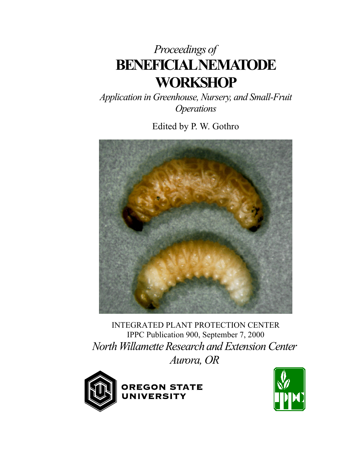# *Proceedings of*  **BENEFICIAL NEMATODE WORKSHOP**

*Application in Greenhouse, Nursery, and Small-Fruit Operations* 

Edited by P. W. Gothro



INTEGRATED PLANT PROTECTION CENTER IPPC Publication 900, September 7, 2000 *North Willamette Research and Extension Center Aurora, OR* 



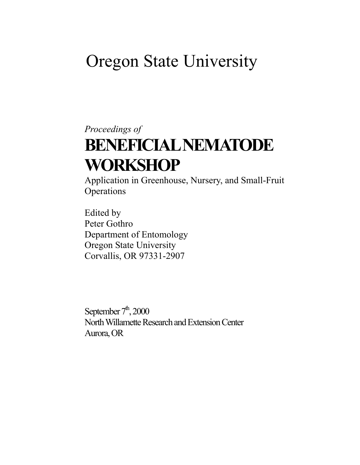# Oregon State University

# *Proceedings of* **BENEFICIAL NEMATODE WORKSHOP**

Application in Greenhouse, Nursery, and Small-Fruit **Operations** 

Edited by Peter Gothro Department of Entomology Oregon State University Corvallis, OR 97331-2907

September  $7<sup>th</sup>$ , 2000 North Willamette Research and Extension Center Aurora, OR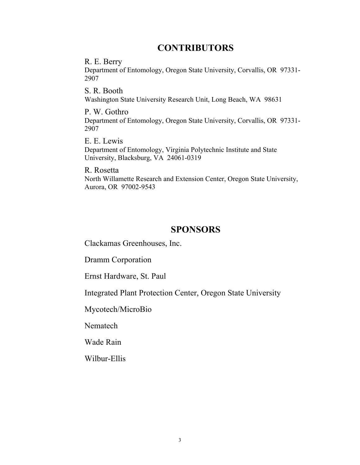## **CONTRIBUTORS**

R. E. Berry Department of Entomology, Oregon State University, Corvallis, OR 97331- 2907

S. R. Booth Washington State University Research Unit, Long Beach, WA 98631

P. W. Gothro Department of Entomology, Oregon State University, Corvallis, OR 97331- 2907

E. E. Lewis Department of Entomology, Virginia Polytechnic Institute and State University, Blacksburg, VA 24061-0319

R. Rosetta North Willamette Research and Extension Center, Oregon State University, Aurora, OR 97002-9543

## **SPONSORS**

Clackamas Greenhouses, Inc.

Dramm Corporation

Ernst Hardware, St. Paul

Integrated Plant Protection Center, Oregon State University

Mycotech/MicroBio

Nematech

Wade Rain

Wilbur-Ellis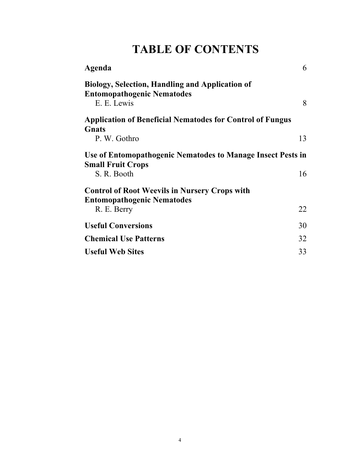## **TABLE OF CONTENTS**

| Agenda                                                                                                     | 6  |
|------------------------------------------------------------------------------------------------------------|----|
| <b>Biology, Selection, Handling and Application of</b><br><b>Entomopathogenic Nematodes</b><br>E. E. Lewis | 8  |
| <b>Application of Beneficial Nematodes for Control of Fungus</b>                                           |    |
| <b>G</b> nats<br>P. W. Gothro                                                                              | 13 |
| Use of Entomopathogenic Nematodes to Manage Insect Pests in                                                |    |
| <b>Small Fruit Crops</b><br>S. R. Booth                                                                    | 16 |
| <b>Control of Root Weevils in Nursery Crops with</b><br><b>Entomopathogenic Nematodes</b>                  |    |
| R. E. Berry                                                                                                | 22 |
| <b>Useful Conversions</b>                                                                                  | 30 |
| <b>Chemical Use Patterns</b>                                                                               | 32 |
| <b>Useful Web Sites</b>                                                                                    | 33 |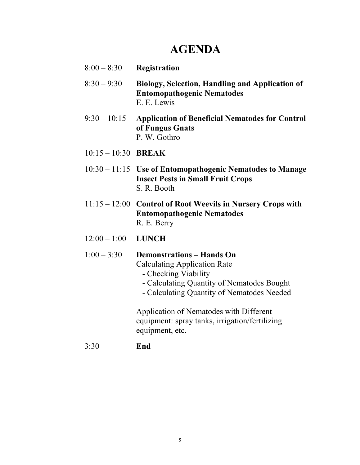## **AGENDA**

- 8:00 8:30 **Registration**
- 8:30 9:30 **Biology, Selection, Handling and Application of Entomopathogenic Nematodes** E. E. Lewis
- 9:30 10:15 **Application of Beneficial Nematodes for Control of Fungus Gnats** P. W. Gothro
- 10:15 10:30 **BREAK**
- 10:30 11:15 **Use of Entomopathogenic Nematodes to Manage Insect Pests in Small Fruit Crops** S. R. Booth
- 11:15 12:00 **Control of Root Weevils in Nursery Crops with Entomopathogenic Nematodes** R. E. Berry
- 12:00 1:00 **LUNCH**

#### 1:00 – 3:30 **Demonstrations – Hands On**

Calculating Application Rate

- Checking Viability
- Calculating Quantity of Nematodes Bought
- Calculating Quantity of Nematodes Needed

Application of Nematodes with Different equipment: spray tanks, irrigation/fertilizing equipment, etc.

3:30 **End**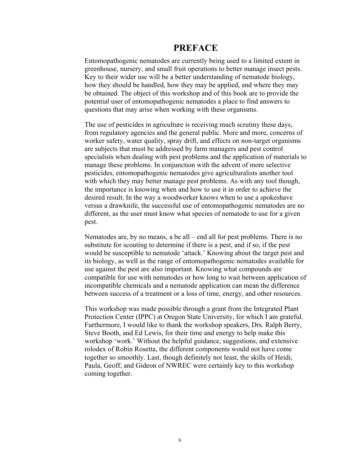### **PREFACE**

Entomopathogenic nematodes are currently being used to a limited extent in greenhouse, nursery, and small fruit operations to better manage insect pests. Key to their wider use will be a better understanding of nematode biology, how they should be handled, how they may be applied, and where they may be obtained. The object of this workshop and of this book are to provide the potential user of entomopathogenic nematodes a place to find answers to questions that may arise when working with these organisms.

The use of pesticides in agriculture is receiving much scrutiny these days, from regulatory agencies and the general public. More and more, concerns of worker safety, water quality, spray drift, and effects on non-target organisms are subjects that must be addressed by farm managers and pest control specialists when dealing with pest problems and the application of materials to manage these problems. In conjunction with the advent of more selective pesticides, entomopathogenic nematodes give agriculturalists another tool with which they may better manage pest problems. As with any tool though, the importance is knowing when and how to use it in order to achieve the desired result. In the way a woodworker knows when to use a spokeshave versus a drawknife, the successful use of entomopathogenic nematodes are no different, as the user must know what species of nematode to use for a given pest.

Nematodes are, by no means, a be all – end all for pest problems. There is no substitute for scouting to determine if there is a pest, and if so, if the pest would be susceptible to nematode 'attack.' Knowing about the target pest and its biology, as well as the range of entomopathogenic nematodes available for use against the pest are also important. Knowing what compounds are compatible for use with nematodes or how long to wait between application of incompatible chemicals and a nematode application can mean the difference between success of a treatment or a loss of time, energy, and other resources.

This workshop was made possible through a grant from the Integrated Plant Protection Center (IPPC) at Oregon State University, for which I am grateful. Furthermore, I would like to thank the workshop speakers, Drs. Ralph Berry, Steve Booth, and Ed Lewis, for their time and energy to help make this workshop 'work.' Without the helpful guidance, suggestions, and extensive rolodex of Robin Rosetta, the different components would not have come together so smoothly. Last, though definitely not least, the skills of Heidi, Paula, Geoff, and Gideon of NWREC were certainly key to this workshop coming together.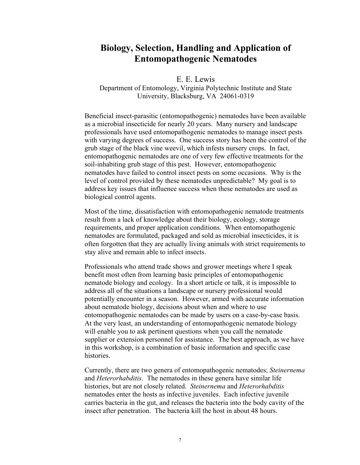## **Biology, Selection, Handling and Application of Entomopathogenic Nematodes**

E. E. Lewis

Department of Entomology, Virginia Polytechnic Institute and State University, Blacksburg, VA 24061-0319

Beneficial insect-parasitic (entomopathogenic) nematodes have been available as a microbial insecticide for nearly 20 years. Many nursery and landscape professionals have used entomopathogenic nematodes to manage insect pests with varying degrees of success. One success story has been the control of the grub stage of the black vine weevil, which infests nursery crops. In fact, entomopathogenic nematodes are one of very few effective treatments for the soil-inhabiting grub stage of this pest. However, entomopathogenic nematodes have failed to control insect pests on some occasions. Why is the level of control provided by these nematodes unpredictable? My goal is to address key issues that influence success when these nematodes are used as biological control agents.

Most of the time, dissatisfaction with entomopathogenic nematode treatments result from a lack of knowledge about their biology, ecology, storage requirements, and proper application conditions. When entomopathogenic nematodes are formulated, packaged and sold as microbial insecticides, it is often forgotten that they are actually living animals with strict requirements to stay alive and remain able to infect insects.

Professionals who attend trade shows and grower meetings where I speak benefit most often from learning basic principles of entomopathogenic nematode biology and ecology. In a short article or talk, it is impossible to address all of the situations a landscape or nursery professional would potentially encounter in a season. However, armed with accurate information about nematode biology, decisions about when and where to use entomopathogenic nematodes can be made by users on a case-by-case basis. At the very least, an understanding of entomopathogenic nematode biology will enable you to ask pertinent questions when you call the nematode supplier or extension personnel for assistance. The best approach, as we have in this workshop, is a combination of basic information and specific case histories.

Currently, there are two genera of entomopathogenic nematodes; *Steinernema* and *Heterorhabditis*. The nematodes in these genera have similar life histories, but are not closely related. *Steinernema* and *Heterorhabditis* nematodes enter the hosts as infective juveniles. Each infective juvenile carries bacteria in the gut, and releases the bacteria into the body cavity of the insect after penetration. The bacteria kill the host in about 48 hours.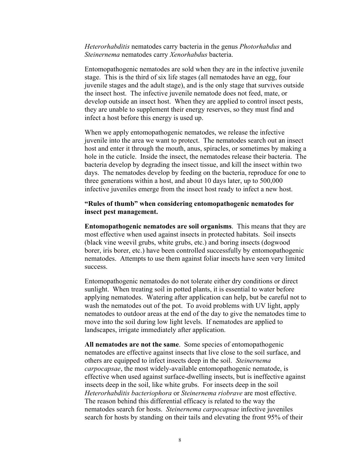*Heterorhabditis* nematodes carry bacteria in the genus *Photorhabdus* and *Steinernema* nematodes carry *Xenorhabdus* bacteria.

Entomopathogenic nematodes are sold when they are in the infective juvenile stage. This is the third of six life stages (all nematodes have an egg, four juvenile stages and the adult stage), and is the only stage that survives outside the insect host. The infective juvenile nematode does not feed, mate, or develop outside an insect host. When they are applied to control insect pests, they are unable to supplement their energy reserves, so they must find and infect a host before this energy is used up.

When we apply entomopathogenic nematodes, we release the infective juvenile into the area we want to protect. The nematodes search out an insect host and enter it through the mouth, anus, spiracles, or sometimes by making a hole in the cuticle. Inside the insect, the nematodes release their bacteria. The bacteria develop by degrading the insect tissue, and kill the insect within two days. The nematodes develop by feeding on the bacteria, reproduce for one to three generations within a host, and about 10 days later, up to 500,000 infective juveniles emerge from the insect host ready to infect a new host.

#### **"Rules of thumb" when considering entomopathogenic nematodes for insect pest management.**

**Entomopathogenic nematodes are soil organisms**. This means that they are most effective when used against insects in protected habitats. Soil insects (black vine weevil grubs, white grubs, etc.) and boring insects (dogwood borer, iris borer, etc.) have been controlled successfully by entomopathogenic nematodes. Attempts to use them against foliar insects have seen very limited success.

Entomopathogenic nematodes do not tolerate either dry conditions or direct sunlight. When treating soil in potted plants, it is essential to water before applying nematodes. Watering after application can help, but be careful not to wash the nematodes out of the pot. To avoid problems with UV light, apply nematodes to outdoor areas at the end of the day to give the nematodes time to move into the soil during low light levels. If nematodes are applied to landscapes, irrigate immediately after application.

**All nematodes are not the same**. Some species of entomopathogenic nematodes are effective against insects that live close to the soil surface, and others are equipped to infect insects deep in the soil. *Steinernema carpocapsae*, the most widely-available entomopathogenic nematode, is effective when used against surface-dwelling insects, but is ineffective against insects deep in the soil, like white grubs. For insects deep in the soil *Heterorhabditis bacteriophora* or *Steinernema riobrave* are most effective. The reason behind this differential efficacy is related to the way the nematodes search for hosts. *Steinernema carpocapsae* infective juveniles search for hosts by standing on their tails and elevating the front 95% of their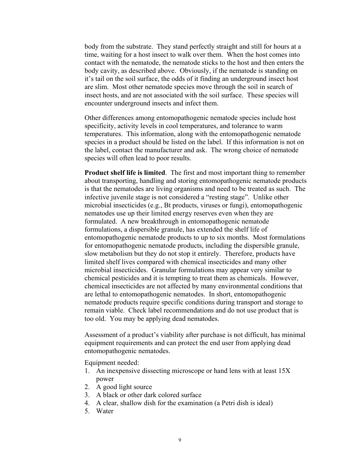body from the substrate. They stand perfectly straight and still for hours at a time, waiting for a host insect to walk over them. When the host comes into contact with the nematode, the nematode sticks to the host and then enters the body cavity, as described above. Obviously, if the nematode is standing on it's tail on the soil surface, the odds of it finding an underground insect host are slim. Most other nematode species move through the soil in search of insect hosts, and are not associated with the soil surface. These species will encounter underground insects and infect them.

Other differences among entomopathogenic nematode species include host specificity, activity levels in cool temperatures, and tolerance to warm temperatures. This information, along with the entomopathogenic nematode species in a product should be listed on the label. If this information is not on the label, contact the manufacturer and ask. The wrong choice of nematode species will often lead to poor results.

**Product shelf life is limited**. The first and most important thing to remember about transporting, handling and storing entomopathogenic nematode products is that the nematodes are living organisms and need to be treated as such. The infective juvenile stage is not considered a "resting stage". Unlike other microbial insecticides (e.g., Bt products, viruses or fungi), entomopathogenic nematodes use up their limited energy reserves even when they are formulated. A new breakthrough in entomopathogenic nematode formulations, a dispersible granule, has extended the shelf life of entomopathogenic nematode products to up to six months. Most formulations for entomopathogenic nematode products, including the dispersible granule, slow metabolism but they do not stop it entirely. Therefore, products have limited shelf lives compared with chemical insecticides and many other microbial insecticides. Granular formulations may appear very similar to chemical pesticides and it is tempting to treat them as chemicals. However, chemical insecticides are not affected by many environmental conditions that are lethal to entomopathogenic nematodes. In short, entomopathogenic nematode products require specific conditions during transport and storage to remain viable. Check label recommendations and do not use product that is too old. You may be applying dead nematodes.

Assessment of a product's viability after purchase is not difficult, has minimal equipment requirements and can protect the end user from applying dead entomopathogenic nematodes.

Equipment needed:

- 1. An inexpensive dissecting microscope or hand lens with at least 15X power
- 2. A good light source
- 3. A black or other dark colored surface
- 4. A clear, shallow dish for the examination (a Petri dish is ideal)
- 5. Water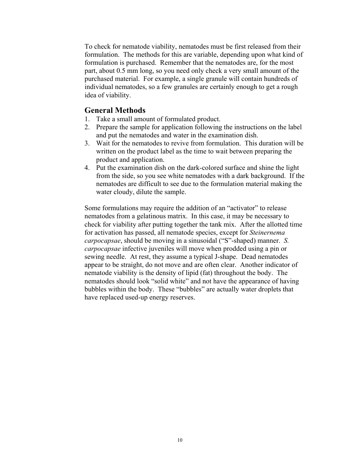To check for nematode viability, nematodes must be first released from their formulation. The methods for this are variable, depending upon what kind of formulation is purchased. Remember that the nematodes are, for the most part, about 0.5 mm long, so you need only check a very small amount of the purchased material. For example, a single granule will contain hundreds of individual nematodes, so a few granules are certainly enough to get a rough idea of viability.

#### **General Methods**

- 1. Take a small amount of formulated product.
- 2. Prepare the sample for application following the instructions on the label and put the nematodes and water in the examination dish.
- 3. Wait for the nematodes to revive from formulation. This duration will be written on the product label as the time to wait between preparing the product and application.
- 4. Put the examination dish on the dark-colored surface and shine the light from the side, so you see white nematodes with a dark background. If the nematodes are difficult to see due to the formulation material making the water cloudy, dilute the sample.

Some formulations may require the addition of an "activator" to release nematodes from a gelatinous matrix. In this case, it may be necessary to check for viability after putting together the tank mix. After the allotted time for activation has passed, all nematode species, except for *Steinernema carpocapsae*, should be moving in a sinusoidal ("S"-shaped) manner. *S. carpocapsae* infective juveniles will move when prodded using a pin or sewing needle. At rest, they assume a typical J-shape. Dead nematodes appear to be straight, do not move and are often clear. Another indicator of nematode viability is the density of lipid (fat) throughout the body. The nematodes should look "solid white" and not have the appearance of having bubbles within the body. These "bubbles" are actually water droplets that have replaced used-up energy reserves.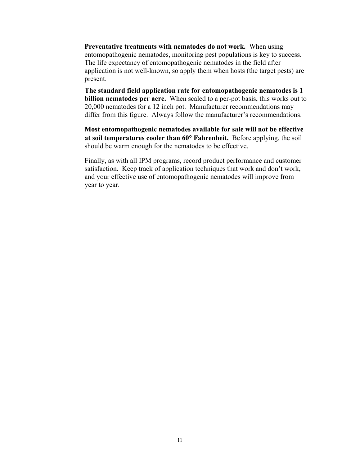**Preventative treatments with nematodes do not work.** When using entomopathogenic nematodes, monitoring pest populations is key to success. The life expectancy of entomopathogenic nematodes in the field after application is not well-known, so apply them when hosts (the target pests) are present.

**The standard field application rate for entomopathogenic nematodes is 1 billion nematodes per acre.** When scaled to a per-pot basis, this works out to 20,000 nematodes for a 12 inch pot. Manufacturer recommendations may differ from this figure. Always follow the manufacturer's recommendations.

**Most entomopathogenic nematodes available for sale will not be effective at soil temperatures cooler than 60**° **Fahrenheit.** Before applying, the soil should be warm enough for the nematodes to be effective.

Finally, as with all IPM programs, record product performance and customer satisfaction. Keep track of application techniques that work and don't work, and your effective use of entomopathogenic nematodes will improve from year to year.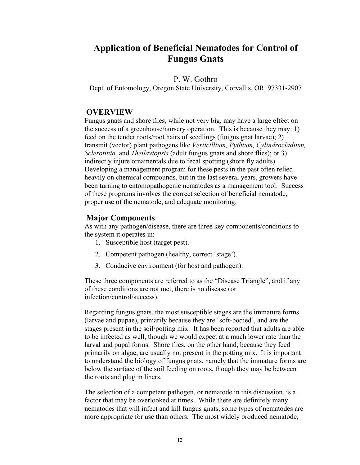## **Application of Beneficial Nematodes for Control of Fungus Gnats**

#### P. W. Gothro

Dept. of Entomology, Oregon State University, Corvallis, OR 97331-2907

#### **OVERVIEW**

Fungus gnats and shore flies, while not very big, may have a large effect on the success of a greenhouse/nursery operation. This is because they may: 1) feed on the tender roots/root hairs of seedlings (fungus gnat larvae); 2) transmit (vector) plant pathogens like *Verticillium, Pythium, Cylindrocladium, Sclerotinia,* and *Theilaviopsis* (adult fungus gnats and shore flies); or 3) indirectly injure ornamentals due to fecal spotting (shore fly adults). Developing a management program for these pests in the past often relied heavily on chemical compounds, but in the last several years, growers have been turning to entomopathogenic nematodes as a management tool. Success of these programs involves the correct selection of beneficial nematode, proper use of the nematode, and adequate monitoring.

#### **Major Components**

As with any pathogen/disease, there are three key components/conditions to the system it operates in:

- 1. Susceptible host (target pest).
- 2. Competent pathogen (healthy, correct 'stage').
- 3. Conducive environment (for host and pathogen).

These three components are referred to as the "Disease Triangle", and if any of these conditions are not met, there is no disease (or infection/control/success).

Regarding fungus gnats, the most susceptible stages are the immature forms (larvae and pupae), primarily because they are 'soft-bodied', and are the stages present in the soil/potting mix. It has been reported that adults are able to be infected as well, though we would expect at a much lower rate than the larval and pupal forms. Shore flies, on the other hand, because they feed primarily on algae, are usually not present in the potting mix. It is important to understand the biology of fungus gnats, namely that the immature forms are below the surface of the soil feeding on roots, though they may be between the roots and plug in liners.

The selection of a competent pathogen, or nematode in this discussion, is a factor that may be overlooked at times. While there are definitely many nematodes that will infect and kill fungus gnats, some types of nematodes are more appropriate for use than others. The most widely produced nematode,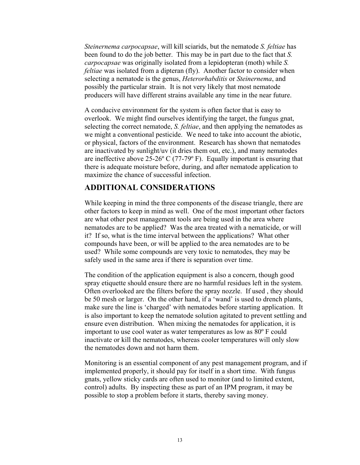*Steinernema carpocapsae*, will kill sciarids, but the nematode *S. feltiae* has been found to do the job better. This may be in part due to the fact that *S. carpocapsae* was originally isolated from a lepidopteran (moth) while *S. feltiae* was isolated from a dipteran (fly). Another factor to consider when selecting a nematode is the genus, *Heterorhabditis* or *Steinernema*, and possibly the particular strain. It is not very likely that most nematode producers will have different strains available any time in the near future.

A conducive environment for the system is often factor that is easy to overlook. We might find ourselves identifying the target, the fungus gnat, selecting the correct nematode, *S. feltiae*, and then applying the nematodes as we might a conventional pesticide. We need to take into account the abiotic, or physical, factors of the environment. Research has shown that nematodes are inactivated by sunlight/uv (it dries them out, etc.), and many nematodes are ineffective above  $25{\text -}26^{\circ}$  C (77-79 $^{\circ}$  F). Equally important is ensuring that there is adequate moisture before, during, and after nematode application to maximize the chance of successful infection.

#### **ADDITIONAL CONSIDERATIONS**

While keeping in mind the three components of the disease triangle, there are other factors to keep in mind as well. One of the most important other factors are what other pest management tools are being used in the area where nematodes are to be applied? Was the area treated with a nematicide, or will it? If so, what is the time interval between the applications? What other compounds have been, or will be applied to the area nematodes are to be used? While some compounds are very toxic to nematodes, they may be safely used in the same area if there is separation over time.

The condition of the application equipment is also a concern, though good spray etiquette should ensure there are no harmful residues left in the system. Often overlooked are the filters before the spray nozzle. If used , they should be 50 mesh or larger. On the other hand, if a 'wand' is used to drench plants, make sure the line is 'charged' with nematodes before starting application. It is also important to keep the nematode solution agitated to prevent settling and ensure even distribution. When mixing the nematodes for application, it is important to use cool water as water temperatures as low as 80º F could inactivate or kill the nematodes, whereas cooler temperatures will only slow the nematodes down and not harm them.

Monitoring is an essential component of any pest management program, and if implemented properly, it should pay for itself in a short time. With fungus gnats, yellow sticky cards are often used to monitor (and to limited extent, control) adults. By inspecting these as part of an IPM program, it may be possible to stop a problem before it starts, thereby saving money.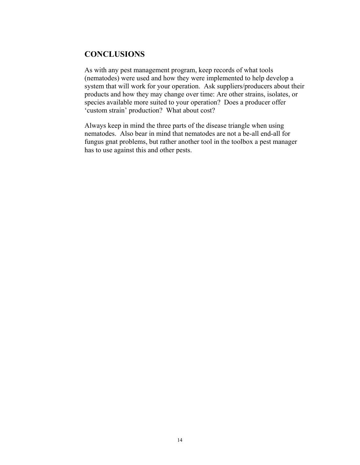## **CONCLUSIONS**

As with any pest management program, keep records of what tools (nematodes) were used and how they were implemented to help develop a system that will work for your operation. Ask suppliers/producers about their products and how they may change over time: Are other strains, isolates, or species available more suited to your operation? Does a producer offer 'custom strain' production? What about cost?

Always keep in mind the three parts of the disease triangle when using nematodes. Also bear in mind that nematodes are not a be-all end-all for fungus gnat problems, but rather another tool in the toolbox a pest manager has to use against this and other pests.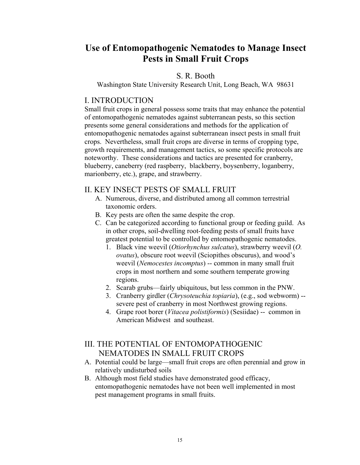## **Use of Entomopathogenic Nematodes to Manage Insect Pests in Small Fruit Crops**

#### S. R. Booth

Washington State University Research Unit, Long Beach, WA 98631

#### I. INTRODUCTION

Small fruit crops in general possess some traits that may enhance the potential of entomopathogenic nematodes against subterranean pests, so this section presents some general considerations and methods for the application of entomopathogenic nematodes against subterranean insect pests in small fruit crops. Nevertheless, small fruit crops are diverse in terms of cropping type, growth requirements, and management tactics, so some specific protocols are noteworthy. These considerations and tactics are presented for cranberry, blueberry, caneberry (red raspberry, blackberry, boysenberry, loganberry, marionberry, etc.), grape, and strawberry.

#### II. KEY INSECT PESTS OF SMALL FRUIT

- A. Numerous, diverse, and distributed among all common terrestrial taxonomic orders.
- B. Key pests are often the same despite the crop.
- C. Can be categorized according to functional group or feeding guild. As in other crops, soil-dwelling root-feeding pests of small fruits have greatest potential to be controlled by entomopathogenic nematodes.
	- 1. Black vine weevil (*Otiorhynchus sulcatus*), strawberry weevil (*O. ovatus*), obscure root weevil (Sciopithes obscurus), and wood's weevil (*Nemocestes incomptus*) -- common in many small fruit crops in most northern and some southern temperate growing regions.
	- 2. Scarab grubs—fairly ubiquitous, but less common in the PNW.
	- 3. Cranberry girdler (*Chrysoteuchia topiaria*), (e.g., sod webworm) severe pest of cranberry in most Northwest growing regions.
	- 4. Grape root borer (*Vitacea polistiformis*) (Sesiidae) -- common in American Midwest and southeast.

## III. THE POTENTIAL OF ENTOMOPATHOGENIC NEMATODES IN SMALL FRUIT CROPS

- A. Potential could be large—small fruit crops are often perennial and grow in relatively undisturbed soils
- B. Although most field studies have demonstrated good efficacy, entomopathogenic nematodes have not been well implemented in most pest management programs in small fruits.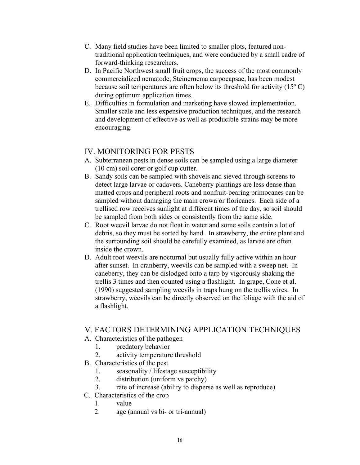- C. Many field studies have been limited to smaller plots, featured nontraditional application techniques, and were conducted by a small cadre of forward-thinking researchers.
- D. In Pacific Northwest small fruit crops, the success of the most commonly commercialized nematode, Steinernema carpocapsae, has been modest because soil temperatures are often below its threshold for activity  $(15^{\circ} \text{C})$ during optimum application times.
- E. Difficulties in formulation and marketing have slowed implementation. Smaller scale and less expensive production techniques, and the research and development of effective as well as producible strains may be more encouraging.

## IV. MONITORING FOR PESTS

- A. Subterranean pests in dense soils can be sampled using a large diameter (10 cm) soil corer or golf cup cutter.
- B. Sandy soils can be sampled with shovels and sieved through screens to detect large larvae or cadavers. Caneberry plantings are less dense than matted crops and peripheral roots and nonfruit-bearing primocanes can be sampled without damaging the main crown or floricanes. Each side of a trellised row receives sunlight at different times of the day, so soil should be sampled from both sides or consistently from the same side.
- C. Root weevil larvae do not float in water and some soils contain a lot of debris, so they must be sorted by hand. In strawberry, the entire plant and the surrounding soil should be carefully examined, as larvae are often inside the crown.
- D. Adult root weevils are nocturnal but usually fully active within an hour after sunset. In cranberry, weevils can be sampled with a sweep net. In caneberry, they can be dislodged onto a tarp by vigorously shaking the trellis 3 times and then counted using a flashlight. In grape, Cone et al. (1990) suggested sampling weevils in traps hung on the trellis wires. In strawberry, weevils can be directly observed on the foliage with the aid of a flashlight.

### V. FACTORS DETERMINING APPLICATION TECHNIQUES

- A. Characteristics of the pathogen
	- 1. predatory behavior
	- 2. activity temperature threshold
- B. Characteristics of the pest
	- 1. seasonality / lifestage susceptibility
	- 2. distribution (uniform vs patchy)
	- 3. rate of increase (ability to disperse as well as reproduce)
- C. Characteristics of the crop
	- 1. value
		- 2. age (annual vs bi- or tri-annual)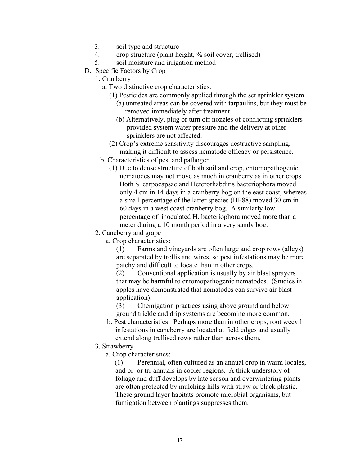- 3. soil type and structure
- 4. crop structure (plant height, % soil cover, trellised)
- 5. soil moisture and irrigation method
- D. Specific Factors by Crop
	- 1. Cranberry
		- a. Two distinctive crop characteristics:
			- (1) Pesticides are commonly applied through the set sprinkler system
				- (a) untreated areas can be covered with tarpaulins, but they must be removed immediately after treatment.
				- (b) Alternatively, plug or turn off nozzles of conflicting sprinklers provided system water pressure and the delivery at other sprinklers are not affected.
			- (2) Crop's extreme sensitivity discourages destructive sampling, making it difficult to assess nematode efficacy or persistence.
		- b. Characteristics of pest and pathogen
			- (1) Due to dense structure of both soil and crop, entomopathogenic nematodes may not move as much in cranberry as in other crops. Both S. carpocapsae and Heterorhabditis bacteriophora moved only 4 cm in 14 days in a cranberry bog on the east coast, whereas a small percentage of the latter species (HP88) moved 30 cm in 60 days in a west coast cranberry bog. A similarly low percentage of inoculated H. bacteriophora moved more than a meter during a 10 month period in a very sandy bog.
	- 2. Caneberry and grape
		- a. Crop characteristics:

(1) Farms and vineyards are often large and crop rows (alleys) are separated by trellis and wires, so pest infestations may be more patchy and difficult to locate than in other crops.

(2) Conventional application is usually by air blast sprayers that may be harmful to entomopathogenic nematodes. (Studies in apples have demonstrated that nematodes can survive air blast application).

(3) Chemigation practices using above ground and below ground trickle and drip systems are becoming more common.

- b. Pest characteristics: Perhaps more than in other crops, root weevil infestations in caneberry are located at field edges and usually extend along trellised rows rather than across them.
- 3. Strawberry
	- a. Crop characteristics:

(1) Perennial, often cultured as an annual crop in warm locales, and bi- or tri-annuals in cooler regions. A thick understory of foliage and duff develops by late season and overwintering plants are often protected by mulching hills with straw or black plastic. These ground layer habitats promote microbial organisms, but fumigation between plantings suppresses them.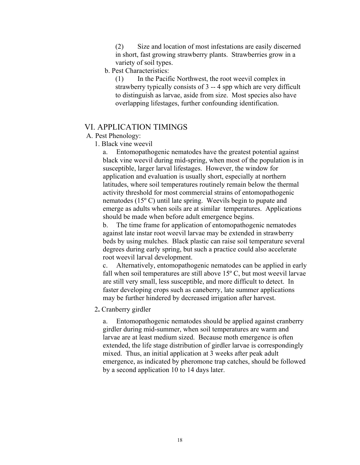(2) Size and location of most infestations are easily discerned in short, fast growing strawberry plants. Strawberries grow in a variety of soil types.

#### b. Pest Characteristics:

(1) In the Pacific Northwest, the root weevil complex in strawberry typically consists of 3 -- 4 spp which are very difficult to distinguish as larvae, aside from size. Most species also have overlapping lifestages, further confounding identification.

### VI. APPLICATION TIMINGS

A. Pest Phenology:

1. Black vine weevil

a. Entomopathogenic nematodes have the greatest potential against black vine weevil during mid-spring, when most of the population is in susceptible, larger larval lifestages. However, the window for application and evaluation is usually short, especially at northern latitudes, where soil temperatures routinely remain below the thermal activity threshold for most commercial strains of entomopathogenic nematodes (15º C) until late spring. Weevils begin to pupate and emerge as adults when soils are at similar temperatures. Applications should be made when before adult emergence begins.

b. The time frame for application of entomopathogenic nematodes against late instar root weevil larvae may be extended in strawberry beds by using mulches. Black plastic can raise soil temperature several degrees during early spring, but such a practice could also accelerate root weevil larval development.

c. Alternatively, entomopathogenic nematodes can be applied in early fall when soil temperatures are still above  $15^{\circ}$  C, but most weevil larvae are still very small, less susceptible, and more difficult to detect. In faster developing crops such as caneberry, late summer applications may be further hindered by decreased irrigation after harvest.

2**.** Cranberry girdler

a. Entomopathogenic nematodes should be applied against cranberry girdler during mid-summer, when soil temperatures are warm and larvae are at least medium sized. Because moth emergence is often extended, the life stage distribution of girdler larvae is correspondingly mixed. Thus, an initial application at 3 weeks after peak adult emergence, as indicated by pheromone trap catches, should be followed by a second application 10 to 14 days later.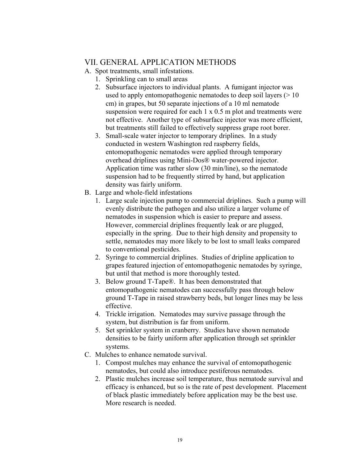## VII. GENERAL APPLICATION METHODS

A. Spot treatments, small infestations.

- 1. Sprinkling can to small areas
- 2. Subsurface injectors to individual plants. A fumigant injector was used to apply entomopathogenic nematodes to deep soil layers  $($  > 10 cm) in grapes, but 50 separate injections of a 10 ml nematode suspension were required for each 1 x 0.5 m plot and treatments were not effective. Another type of subsurface injector was more efficient, but treatments still failed to effectively suppress grape root borer.
- 3. Small-scale water injector to temporary driplines. In a study conducted in western Washington red raspberry fields, entomopathogenic nematodes were applied through temporary overhead driplines using Mini-Dos® water-powered injector. Application time was rather slow (30 min/line), so the nematode suspension had to be frequently stirred by hand, but application density was fairly uniform.
- B. Large and whole-field infestations
	- 1. Large scale injection pump to commercial driplines. Such a pump will evenly distribute the pathogen and also utilize a larger volume of nematodes in suspension which is easier to prepare and assess. However, commercial driplines frequently leak or are plugged, especially in the spring. Due to their high density and propensity to settle, nematodes may more likely to be lost to small leaks compared to conventional pesticides.
	- 2. Syringe to commercial driplines. Studies of dripline application to grapes featured injection of entomopathogenic nematodes by syringe, but until that method is more thoroughly tested.
	- 3. Below ground T-Tape®. It has been demonstrated that entomopathogenic nematodes can successfully pass through below ground T-Tape in raised strawberry beds, but longer lines may be less effective.
	- 4. Trickle irrigation. Nematodes may survive passage through the system, but distribution is far from uniform.
	- 5. Set sprinkler system in cranberry. Studies have shown nematode densities to be fairly uniform after application through set sprinkler systems.
- C. Mulches to enhance nematode survival.
	- 1. Compost mulches may enhance the survival of entomopathogenic nematodes, but could also introduce pestiferous nematodes.
	- 2. Plastic mulches increase soil temperature, thus nematode survival and efficacy is enhanced, but so is the rate of pest development. Placement of black plastic immediately before application may be the best use. More research is needed.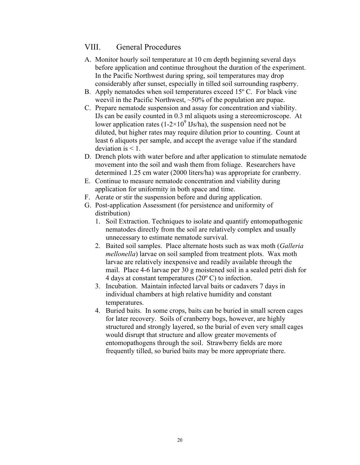### VIII. General Procedures

- A. Monitor hourly soil temperature at 10 cm depth beginning several days before application and continue throughout the duration of the experiment. In the Pacific Northwest during spring, soil temperatures may drop considerably after sunset, especially in tilled soil surrounding raspberry.
- B. Apply nematodes when soil temperatures exceed 15º C. For black vine weevil in the Pacific Northwest, ~50% of the population are pupae.
- C. Prepare nematode suspension and assay for concentration and viability. IJs can be easily counted in 0.3 ml aliquots using a stereomicroscope. At lower application rates (1-2×10<sup>9</sup> IJs/ha), the suspension need not be diluted, but higher rates may require dilution prior to counting. Count at least 6 aliquots per sample, and accept the average value if the standard deviation is  $\leq 1$ .
- D. Drench plots with water before and after application to stimulate nematode movement into the soil and wash them from foliage. Researchers have determined 1.25 cm water (2000 liters/ha) was appropriate for cranberry.
- E. Continue to measure nematode concentration and viability during application for uniformity in both space and time.
- F. Aerate or stir the suspension before and during application.
- G. Post-application Assessment (for persistence and uniformity of distribution)
	- 1. Soil Extraction. Techniques to isolate and quantify entomopathogenic nematodes directly from the soil are relatively complex and usually unnecessary to estimate nematode survival.
	- 2. Baited soil samples. Place alternate hosts such as wax moth (*Galleria mellonella*) larvae on soil sampled from treatment plots. Wax moth larvae are relatively inexpensive and readily available through the mail. Place 4-6 larvae per 30 g moistened soil in a sealed petri dish for 4 days at constant temperatures (20º C) to infection.
	- 3. Incubation. Maintain infected larval baits or cadavers 7 days in individual chambers at high relative humidity and constant temperatures.
	- 4. Buried baits. In some crops, baits can be buried in small screen cages for later recovery. Soils of cranberry bogs, however, are highly structured and strongly layered, so the burial of even very small cages would disrupt that structure and allow greater movements of entomopathogens through the soil. Strawberry fields are more frequently tilled, so buried baits may be more appropriate there.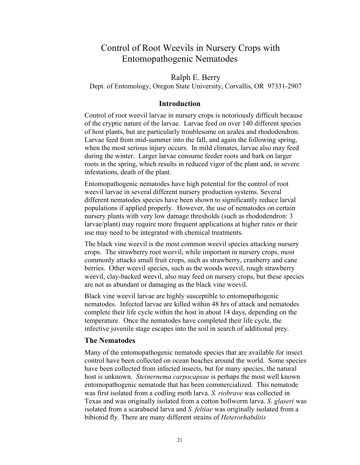## Control of Root Weevils in Nursery Crops with Entomopathogenic Nematodes

#### Ralph E. Berry

Dept. of Entomology, Oregon State University, Corvallis, OR 97331-2907

#### **Introduction**

Control of root weevil larvae in nursery crops is notoriously difficult because of the cryptic nature of the larvae. Larvae feed on over 140 different species of host plants, but are particularly troublesome on azalea and rhododendron. Larvae feed from mid-summer into the fall, and again the following spring, when the most serious injury occurs. In mild climates, larvae also may feed during the winter. Larger larvae consume feeder roots and bark on larger roots in the spring, which results in reduced vigor of the plant and, in severe infestations, death of the plant.

Entomopathogenic nematodes have high potential for the control of root weevil larvae in several different nursery production systems. Several different nematodes species have been shown to significantly reduce larval populations if applied properly. However, the use of nematodes on certain nursery plants with very low damage thresholds (such as rhododendron: 3 larvae/plant) may require more frequent applications at higher rates or their use may need to be integrated with chemical treatments.

The black vine weevil is the most common weevil species attacking nursery crops. The strawberry root weevil, while important in nursery crops, most commonly attacks small fruit crops, such as strawberry, cranberry and cane berries. Other weevil species, such as the woods weevil, rough strawberry weevil, clay-backed weevil, also may feed on nursery crops, but these species are not as abundant or damaging as the black vine weevil.

Black vine weevil larvae are highly susceptible to entomopathogenic nematodes. Infected larvae are killed within 48 hrs of attack and nematodes complete their life cycle within the host in about 14 days, depending on the temperature. Once the nematodes have completed their life cycle, the infective juvenile stage escapes into the soil in search of additional prey.

#### **The Nematodes**

Many of the entomopathogenic nematode species that are available for insect control have been collected on ocean beaches around the world. Some species have been collected from infected insects, but for many species, the natural host is unknown. *Steinernema carpocapsae* is perhaps the most well known entomopathogenic nematode that has been commercialized. This nematode was first isolated from a codling moth larva. *S. riobrave* was collected in Texas and was originally isolated from a cotton bollworm larva. *S. glaseri* was isolated from a scarabaeid larva and *S. feltiae* was originally isolated from a bibionid fly. There are many different strains of *Heterorhabditis*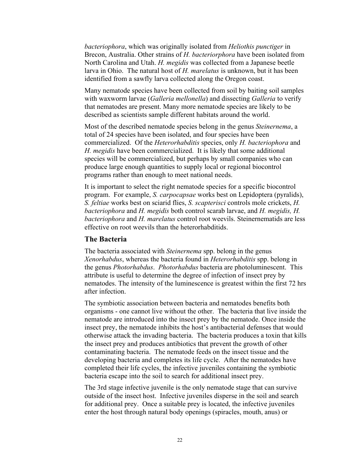*bacteriophora*, which was originally isolated from *Heliothis punctiger* in Brecon, Australia. Other strains of *H. bacteriorphora* have been isolated from North Carolina and Utah. *H. megidis* was collected from a Japanese beetle larva in Ohio. The natural host of *H. marelatus* is unknown, but it has been identified from a sawfly larva collected along the Oregon coast.

Many nematode species have been collected from soil by baiting soil samples with waxworm larvae (*Galleria mellonella*) and dissecting *Galleria* to verify that nematodes are present. Many more nematode species are likely to be described as scientists sample different habitats around the world.

Most of the described nematode species belong in the genus *Steinernema*, a total of 24 species have been isolated, and four species have been commercialized. Of the *Heterorhabditis* species, only *H. bacteriophora* and *H. megidis* have been commercialized. It is likely that some additional species will be commercialized, but perhaps by small companies who can produce large enough quantities to supply local or regional biocontrol programs rather than enough to meet national needs.

It is important to select the right nematode species for a specific biocontrol program. For example, *S. carpocapsae* works best on Lepidoptera (pyralids), *S. feltiae* works best on sciarid flies, *S. scapterisci* controls mole crickets, *H. bacteriophora* and *H. megidis* both control scarab larvae, and *H. megidis, H. bacteriophora* and *H. marelatus* control root weevils. Steinernematids are less effective on root weevils than the heterorhabditids.

#### **The Bacteria**

The bacteria associated with *Steinernema* spp. belong in the genus *Xenorhabdus*, whereas the bacteria found in *Heterorhabditis* spp. belong in the genus *Photorhabdus*. *Photorhabdus* bacteria are photoluminescent. This attribute is useful to determine the degree of infection of insect prey by nematodes. The intensity of the luminescence is greatest within the first 72 hrs after infection.

The symbiotic association between bacteria and nematodes benefits both organisms - one cannot live without the other. The bacteria that live inside the nematode are introduced into the insect prey by the nematode. Once inside the insect prey, the nematode inhibits the host's antibacterial defenses that would otherwise attack the invading bacteria. The bacteria produces a toxin that kills the insect prey and produces antibiotics that prevent the growth of other contaminating bacteria. The nematode feeds on the insect tissue and the developing bacteria and completes its life cycle. After the nematodes have completed their life cycles, the infective juveniles containing the symbiotic bacteria escape into the soil to search for additional insect prey.

The 3rd stage infective juvenile is the only nematode stage that can survive outside of the insect host. Infective juveniles disperse in the soil and search for additional prey. Once a suitable prey is located, the infective juveniles enter the host through natural body openings (spiracles, mouth, anus) or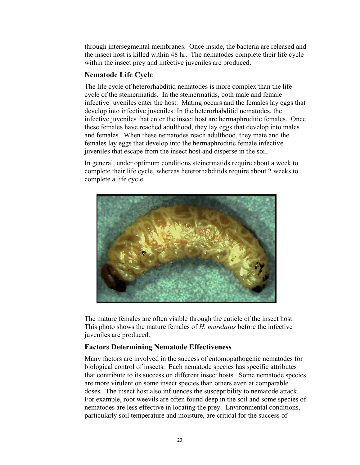through intersegmental membranes. Once inside, the bacteria are released and the insect host is killed within 48 hr. The nematodes complete their life cycle within the insect prey and infective juveniles are produced.

#### **Nematode Life Cycle**

The life cycle of heterorhabditid nematodes is more complex than the life cycle of the steinermatids. In the steinermatids, both male and female infective juveniles enter the host. Mating occurs and the females lay eggs that develop into infective juveniles. In the heterorhabditid nematodes, the infective juveniles that enter the insect host are hermaphroditic females. Once these females have reached adulthood, they lay eggs that develop into males and females. When these nematodes reach adulthood, they mate and the females lay eggs that develop into the hermaphroditic female infective juveniles that escape from the insect host and disperse in the soil.

In general, under optimum conditions steinermatids require about a week to complete their life cycle, whereas heterorhabditids require about 2 weeks to complete a life cycle.



The mature females are often visible through the cuticle of the insect host. This photo shows the mature females of *H. marelatus* before the infective juveniles are produced.

#### **Factors Determining Nematode Effectiveness**

Many factors are involved in the success of entomopathogenic nematodes for biological control of insects. Each nematode species has specific attributes that contribute to its success on different insect hosts. Some nematode species are more virulent on some insect species than others even at comparable doses. The insect host also influences the susceptibility to nematode attack. For example, root weevils are often found deep in the soil and some species of nematodes are less effective in locating the prey. Environmental conditions, particularly soil temperature and moisture, are critical for the success of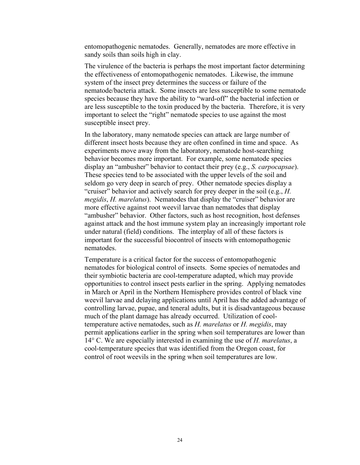entomopathogenic nematodes. Generally, nematodes are more effective in sandy soils than soils high in clay.

The virulence of the bacteria is perhaps the most important factor determining the effectiveness of entomopathogenic nematodes. Likewise, the immune system of the insect prey determines the success or failure of the nematode/bacteria attack. Some insects are less susceptible to some nematode species because they have the ability to "ward-off" the bacterial infection or are less susceptible to the toxin produced by the bacteria. Therefore, it is very important to select the "right" nematode species to use against the most susceptible insect prey.

In the laboratory, many nematode species can attack are large number of different insect hosts because they are often confined in time and space. As experiments move away from the laboratory, nematode host-searching behavior becomes more important. For example, some nematode species display an "ambusher" behavior to contact their prey (e.g., *S. carpocapsae*). These species tend to be associated with the upper levels of the soil and seldom go very deep in search of prey. Other nematode species display a "cruiser" behavior and actively search for prey deeper in the soil (e.g., *H. megidis*, *H. marelatus*). Nematodes that display the "cruiser" behavior are more effective against root weevil larvae than nematodes that display "ambusher" behavior. Other factors, such as host recognition, host defenses against attack and the host immune system play an increasingly important role under natural (field) conditions. The interplay of all of these factors is important for the successful biocontrol of insects with entomopathogenic nematodes.

Temperature is a critical factor for the success of entomopathogenic nematodes for biological control of insects. Some species of nematodes and their symbiotic bacteria are cool-temperature adapted, which may provide opportunities to control insect pests earlier in the spring. Applying nematodes in March or April in the Northern Hemisphere provides control of black vine weevil larvae and delaying applications until April has the added advantage of controlling larvae, pupae, and teneral adults, but it is disadvantageous because much of the plant damage has already occurred. Utilization of cooltemperature active nematodes, such as *H. marelatus* or *H. megidis*, may permit applications earlier in the spring when soil temperatures are lower than 14° C. We are especially interested in examining the use of *H. marelatus*, a cool-temperature species that was identified from the Oregon coast, for control of root weevils in the spring when soil temperatures are low.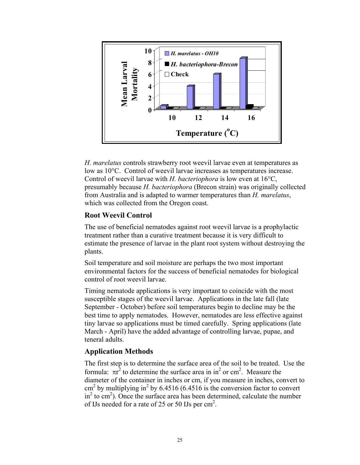

*H. marelatus* controls strawberry root weevil larvae even at temperatures as low as 10°C. Control of weevil larvae increases as temperatures increase. Control of weevil larvae with *H. bacteriophora* is low even at 16°C, presumably because *H. bacteriophora* (Brecon strain) was originally collected from Australia and is adapted to warmer temperatures than *H. marelatus*, which was collected from the Oregon coast.

#### **Root Weevil Control**

The use of beneficial nematodes against root weevil larvae is a prophylactic treatment rather than a curative treatment because it is very difficult to estimate the presence of larvae in the plant root system without destroying the plants.

Soil temperature and soil moisture are perhaps the two most important environmental factors for the success of beneficial nematodes for biological control of root weevil larvae.

Timing nematode applications is very important to coincide with the most susceptible stages of the weevil larvae. Applications in the late fall (late September - October) before soil temperatures begin to decline may be the best time to apply nematodes. However, nematodes are less effective against tiny larvae so applications must be timed carefully. Spring applications (late March - April) have the added advantage of controlling larvae, pupae, and teneral adults.

#### **Application Methods**

The first step is to determine the surface area of the soil to be treated. Use the formula:  $\pi r^2$  to determine the surface area in in<sup>2</sup> or cm<sup>2</sup>. Measure the diameter of the container in inches or cm, if you measure in inches, convert to  $\text{cm}^2$  by multiplying in<sup>2</sup> by 6.4516 (6.4516 is the conversion factor to convert in<sup>2</sup> to cm<sup>2</sup>). Once the surface area has been determined, calculate the number of IJs needed for a rate of 25 or 50 IJs per  $\text{cm}^2$ .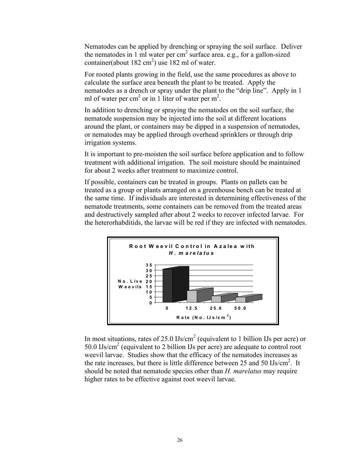Nematodes can be applied by drenching or spraying the soil surface. Deliver the nematodes in 1 ml water per  $cm<sup>2</sup>$  surface area. e.g., for a gallon-sized container(about 182 cm<sup>2</sup>) use 182 ml of water.

For rooted plants growing in the field, use the same procedures as above to calculate the surface area beneath the plant to be treated. Apply the nematodes as a drench or spray under the plant to the "drip line". Apply in 1 ml of water per cm<sup>2</sup> or in 1 liter of water per m<sup>2</sup>.

In addition to drenching or spraying the nematodes on the soil surface, the nematode suspension may be injected into the soil at different locations around the plant, or containers may be dipped in a suspension of nematodes, or nematodes may be applied through overhead sprinklers or through drip irrigation systems.

It is important to pre-moisten the soil surface before application and to follow treatment with additional irrigation. The soil moisture should be maintained for about 2 weeks after treatment to maximize control.

If possible, containers can be treated in groups. Plants on pallets can be treated as a group or plants arranged on a greenhouse bench can be treated at the same time. If individuals are interested in determining effectiveness of the nematode treatments, some containers can be removed from the treated areas and destructively sampled after about 2 weeks to recover infected larvae. For the heterorhabditids, the larvae will be red if they are infected with nematodes.



In most situations, rates of 25.0  $\text{Us/cm}^2$  (equivalent to 1 billion IJs per acre) or 50.0 IJs/cm<sup>2</sup> (equivalent to 2 billion IJs per acre) are adequate to control root weevil larvae. Studies show that the efficacy of the nematodes increases as the rate increases, but there is little difference between  $25$  and  $50$  IJs/cm<sup>2</sup>. It should be noted that nematode species other than *H. marelatus* may require higher rates to be effective against root weevil larvae.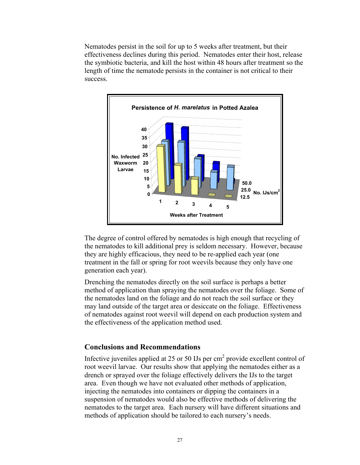Nematodes persist in the soil for up to 5 weeks after treatment, but their effectiveness declines during this period. Nematodes enter their host, release the symbiotic bacteria, and kill the host within 48 hours after treatment so the length of time the nematode persists in the container is not critical to their success.



The degree of control offered by nematodes is high enough that recycling of the nematodes to kill additional prey is seldom necessary. However, because they are highly efficacious, they need to be re-applied each year (one treatment in the fall or spring for root weevils because they only have one generation each year).

Drenching the nematodes directly on the soil surface is perhaps a better method of application than spraying the nematodes over the foliage. Some of the nematodes land on the foliage and do not reach the soil surface or they may land outside of the target area or desiccate on the foliage. Effectiveness of nematodes against root weevil will depend on each production system and the effectiveness of the application method used.

#### **Conclusions and Recommendations**

Infective juveniles applied at 25 or 50 IJs per  $\text{cm}^2$  provide excellent control of root weevil larvae. Our results show that applying the nematodes either as a drench or sprayed over the foliage effectively delivers the IJs to the target area. Even though we have not evaluated other methods of application, injecting the nematodes into containers or dipping the containers in a suspension of nematodes would also be effective methods of delivering the nematodes to the target area. Each nursery will have different situations and methods of application should be tailored to each nursery's needs.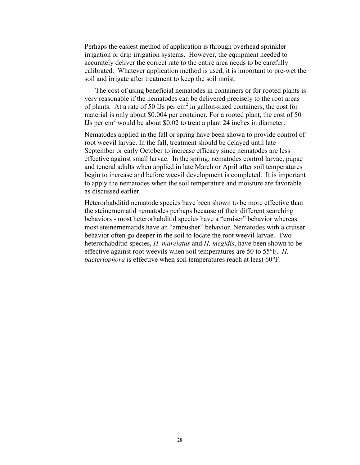Perhaps the easiest method of application is through overhead sprinkler irrigation or drip irrigation systems. However, the equipment needed to accurately deliver the correct rate to the entire area needs to be carefully calibrated. Whatever application method is used, it is important to pre-wet the soil and irrigate after treatment to keep the soil moist.

 The cost of using beneficial nematodes in containers or for rooted plants is very reasonable if the nematodes can be delivered precisely to the root areas of plants. At a rate of 50 IJs per  $\text{cm}^2$  in gallon-sized containers, the cost for material is only about \$0.004 per container. For a rooted plant, the cost of 50 IJs per cm<sup>2</sup> would be about \$0.02 to treat a plant 24 inches in diameter.

Nematodes applied in the fall or spring have been shown to provide control of root weevil larvae. In the fall, treatment should be delayed until late September or early October to increase efficacy since nematodes are less effective against small larvae. In the spring, nematodes control larvae, pupae and teneral adults when applied in late March or April after soil temperatures begin to increase and before weevil development is completed. It is important to apply the nematodes when the soil temperature and moisture are favorable as discussed earlier.

Heterorhabditid nematode species have been shown to be more effective than the steinernematid nematodes perhaps because of their different searching behaviors - most heterorhabditid species have a "cruiser" behavior whereas most steinernematids have an "ambusher" behavior. Nematodes with a cruiser behavior often go deeper in the soil to locate the root weevil larvae. Two heterorhabditid species, *H. marelatus* and *H. megidis*, have been shown to be effective against root weevils when soil temperatures are 50 to 55°F. *H. bacteriophora* is effective when soil temperatures reach at least 60°F.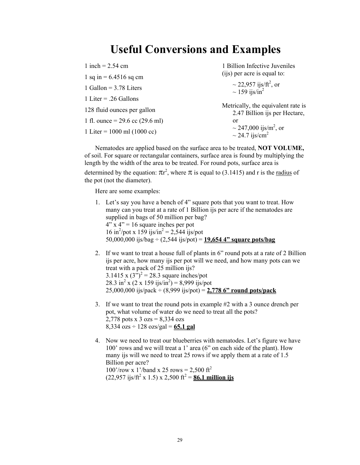## **Useful Conversions and Examples**

| 1 inch = $2.54$ cm                | 1 Billion Infective Juveniles                                        |  |
|-----------------------------------|----------------------------------------------------------------------|--|
| 1 sq in $= 6.4516$ sq cm          | (ijs) per acre is equal to:                                          |  |
| 1 Gallon = $3.78$ Liters          | ~ 22,957 ijs/ft <sup>2</sup> , or<br>~ 159 ijs/in <sup>2</sup>       |  |
| 1 Liter = $.26$ Gallons           |                                                                      |  |
| 128 fluid ounces per gallon       | Metrically, the equivalent rate is<br>2.47 Billion ijs per Hectare,  |  |
| 1 fl. ounce = $29.6$ cc (29.6 ml) | or                                                                   |  |
| 1 Liter = $1000$ ml (1000 cc)     | ~ 247,000 ijs/m <sup>2</sup> , or<br>$\sim$ 24.7 ijs/cm <sup>2</sup> |  |

Nematodes are applied based on the surface area to be treated, **NOT VOLUME,** of soil. For square or rectangular containers, surface area is found by multiplying the length by the width of the area to be treated. For round pots, surface area is determined by the equation:  $\pi r^2$ , where  $\pi$  is equal to (3.1415) and r is the <u>radius</u> of the pot (not the diameter).

Here are some examples:

- 1. Let's say you have a bench of 4" square pots that you want to treat. How many can you treat at a rate of 1 Billion ijs per acre if the nematodes are supplied in bags of 50 million per bag?  $4"$  x  $4" = 16$  square inches per pot 16 in<sup>2</sup>/pot x 159 ijs/in<sup>2</sup> = 2,544 ijs/pot 50,000,000 ijs/bag ÷ (2,544 ijs/pot) = **19,654 4" square pots/bag**
- 2. If we want to treat a house full of plants in 6" round pots at a rate of 2 Billion ijs per acre, how many ijs per pot will we need, and how many pots can we treat with a pack of 25 million ijs? 3.1415 x  $(3^{5})^2 = 28.3$  square inches/pot 28.3 in<sup>2</sup> x (2 x 159 ijs/in<sup>2</sup>) = 8,999 ijs/pot 25,000,000 ijs/pack ÷ (8,999 ijs/pot) = **2,778 6" round pots/pack**
- 3. If we want to treat the round pots in example #2 with a 3 ounce drench per pot, what volume of water do we need to treat all the pots? 2,778 pots x  $3 \text{ ozs} = 8,334 \text{ ozs}$ 8,334 ozs ÷ 128 ozs/gal = **65.1 gal**
- 4. Now we need to treat our blueberries with nematodes. Let's figure we have 100' rows and we will treat a 1' area (6" on each side of the plant). How many ijs will we need to treat 25 rows if we apply them at a rate of 1.5 Billion per acre?  $100'$ /row x 1'/band x 25 rows = 2,500 ft<sup>2</sup>  $(22,957 \text{ ijs/ft}^2 \times 1.5) \times 2,500 \text{ ft}^2 = \text{\textbf{86.1 million ijs}}$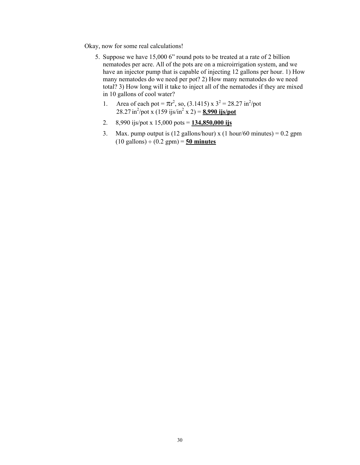Okay, now for some real calculations!

- 5. Suppose we have 15,000 6" round pots to be treated at a rate of 2 billion nematodes per acre. All of the pots are on a microirrigation system, and we have an injector pump that is capable of injecting 12 gallons per hour. 1) How many nematodes do we need per pot? 2) How many nematodes do we need total? 3) How long will it take to inject all of the nematodes if they are mixed in 10 gallons of cool water?
	- 1. Area of each pot =  $\pi r^2$ , so, (3.1415) x  $3^2 = 28.27 \text{ in}^2/\text{pot}$  $28.27 \text{ in}^2/\text{pot} \times (159 \text{ ijs/in}^2 \times 2) = 8,990 \text{ ijs/pot}$
	- 2. 8,990 ijs/pot x 15,000 pots = **134,850,000 ijs**
	- 3. Max. pump output is (12 gallons/hour) x (1 hour/60 minutes) =  $0.2$  gpm (10 gallons) ÷ (0.2 gpm) = **50 minutes**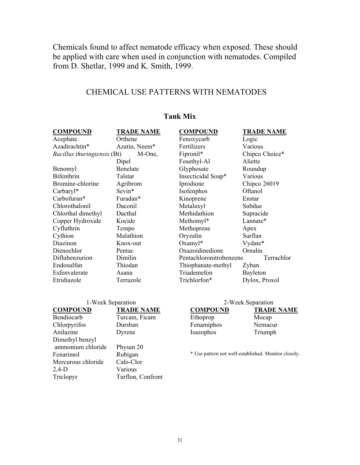Chemicals found to affect nematode efficacy when exposed. These should be applied with care when used in conjunction with nematodes. Compiled from D. Shetlar, 1999 and K. Smith, 1999.

## CHEMICAL USE PATTERNS WITH NEMATODES

| <b>COMPOUND</b>             | <b>TRADE NAME</b>                             | <b>COMPOUND</b>         | <b>TRADE NAME</b>          |
|-----------------------------|-----------------------------------------------|-------------------------|----------------------------|
| Acephate                    | Orthene                                       | Fenoxycarb              | Logic                      |
| Azadirachtin*               | Azatin, Neem*                                 | Fertilizers             | Various                    |
| Bacillus thuringiensis (Bt) | M-One,                                        | Fipronil*               | Chipco Choice*             |
|                             | Dipel                                         | Fosethyl-Al             | Aliette                    |
| Benomyl                     | Benelate                                      | Glyphosate              | Roundup                    |
| Bifenthrin                  | Talstar                                       | Insecticidal Soap*      | Various                    |
| Bromine-chlorine            | Agribrom                                      | Iprodione               | Chipco 26019               |
| Carbaryl*                   | Sevin*                                        | Isofenphos              | Oftanol                    |
| Carbofuran*                 | Furadan*                                      | Kinoprene               | Enstar                     |
| Chlorothalonil              | Daconil                                       | Metalaxyl               | Subdue                     |
| Chlorthal dimethyl          | Dacthal                                       | Methidathion            | Supracide                  |
| Copper Hydroxide            | Kocide                                        | Methomyl*               | Lannate*                   |
| Cyfluthrin                  | Tempo                                         | Methoprene              | Apex                       |
| Cythion                     | Malathion                                     | Oryzalin                | Surflan                    |
| Diazinon                    | Knox-out                                      | $Oxamyl^*$              | Vydate*                    |
| Dienochlor                  | Pentac                                        | Oxazoidinedione         | Ornalin                    |
| Diflubenzurion              | Dimilin                                       | Pentachloronitrobenzene | Terrachlor                 |
| Endosulfan                  | Thiodan                                       | Thiophanate-methyl      | Zyban                      |
| Esfenvalerate               | Asana                                         | Triademefon             | Bayleton                   |
| Etridiazole                 | Terrazole                                     | Trichlorfon*            | Dylox, Proxol              |
|                             | $1 W_{\odot}$ , $\Gamma_{\rm on}$ $\ddot{\rm$ |                         | $2 W_{\odot}$ . Concretion |

#### **Tank Mix**

| 1-Week Separation  |                   | 2-Weel                    |
|--------------------|-------------------|---------------------------|
| <b>COMPOUND</b>    | <b>TRADE NAME</b> | <b>COMPOUND</b>           |
| Bendiocarb         | Turcam, Ficam     | Ethoprop                  |
| Chlorpyrifos       | Dursban           | Fenamiphos                |
| Anilazine          | Dyrene            | Isazophos                 |
| Dimethyl benzyl    |                   |                           |
| ammonium chloride  | Physan 20         |                           |
| Fenarimol          | Rubigan           | * Use pattern not well-ea |
| Mercurous chloride | Calo-Clor         |                           |
| $2,4-D$            | Various           |                           |
| Triclopyr          | Turflon, Confront |                           |

#### k Separation

**TRADE NAME** Mocap Nemacur Triumph

stablished. Monitor closely.